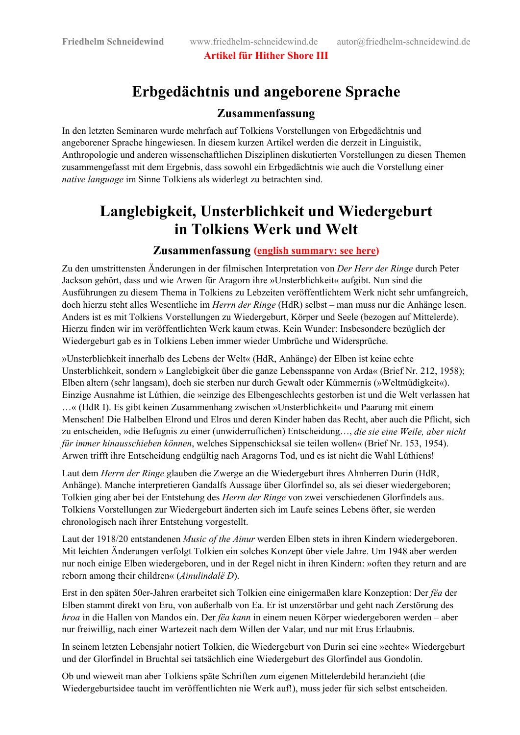**Artikel für Hither Shore III**

### **Erbgedächtnis und angeborene Sprache**

#### **Zusammenfassung**

In den letzten Seminaren wurde mehrfach auf Tolkiens Vorstellungen von Erbgedächtnis und angeborener Sprache hingewiesen. In diesem kurzen Artikel werden die derzeit in Linguistik, Anthropologie und anderen wissenschaftlichen Disziplinen diskutierten Vorstellungen zu diesen Themen zusammengefasst mit dem Ergebnis, dass sowohl ein Erbgedächtnis wie auch die Vorstellung einer *native language* im Sinne Tolkiens als widerlegt zu betrachten sind.

## **Langlebigkeit, Unsterblichkeit und Wiedergeburt in Tolkiens Werk und Welt**

#### **Zusammenfassung [\(english summary: see here\)](#page-1-0)**

Zu den umstrittensten Änderungen in der filmischen Interpretation von *Der Herr der Ringe* durch Peter Jackson gehört, dass und wie Arwen für Aragorn ihre »Unsterblichkeit« aufgibt. Nun sind die Ausführungen zu diesem Thema in Tolkiens zu Lebzeiten veröffentlichtem Werk nicht sehr umfangreich, doch hierzu steht alles Wesentliche im *Herrn der Ringe* (HdR) selbst – man muss nur die Anhänge lesen. Anders ist es mit Tolkiens Vorstellungen zu Wiedergeburt, Körper und Seele (bezogen auf Mittelerde). Hierzu finden wir im veröffentlichten Werk kaum etwas. Kein Wunder: Insbesondere bezüglich der Wiedergeburt gab es in Tolkiens Leben immer wieder Umbrüche und Widersprüche.

»Unsterblichkeit innerhalb des Lebens der Welt« (HdR, Anhänge) der Elben ist keine echte Unsterblichkeit, sondern » Langlebigkeit über die ganze Lebensspanne von Arda« (Brief Nr. 212, 1958); Elben altern (sehr langsam), doch sie sterben nur durch Gewalt oder Kümmernis (»Weltmüdigkeit«). Einzige Ausnahme ist Lúthien, die »einzige des Elbengeschlechts gestorben ist und die Welt verlassen hat …« (HdR I). Es gibt keinen Zusammenhang zwischen »Unsterblichkeit« und Paarung mit einem Menschen! Die Halbelben Elrond und Elros und deren Kinder haben das Recht, aber auch die Pflicht, sich zu entscheiden, »die Befugnis zu einer (unwiderruflichen) Entscheidung…, *die sie eine Weile, aber nicht für immer hinausschieben können*, welches Sippenschicksal sie teilen wollen« (Brief Nr. 153, 1954). Arwen trifft ihre Entscheidung endgültig nach Aragorns Tod, und es ist nicht die Wahl Lúthiens!

Laut dem *Herrn der Ringe* glauben die Zwerge an die Wiedergeburt ihres Ahnherren Durin (HdR, Anhänge). Manche interpretieren Gandalfs Aussage über Glorfindel so, als sei dieser wiedergeboren; Tolkien ging aber bei der Entstehung des *Herrn der Ringe* von zwei verschiedenen Glorfindels aus. Tolkiens Vorstellungen zur Wiedergeburt änderten sich im Laufe seines Lebens öfter, sie werden chronologisch nach ihrer Entstehung vorgestellt.

Laut der 1918/20 entstandenen *Music of the Ainur* werden Elben stets in ihren Kindern wiedergeboren. Mit leichten Änderungen verfolgt Tolkien ein solches Konzept über viele Jahre. Um 1948 aber werden nur noch einige Elben wiedergeboren, und in der Regel nicht in ihren Kindern: »often they return and are reborn among their children« (*Ainulindalë D*).

Erst in den späten 50er-Jahren erarbeitet sich Tolkien eine einigermaßen klare Konzeption: Der *fëa* der Elben stammt direkt von Eru, von außerhalb von Ea. Er ist unzerstörbar und geht nach Zerstörung des *hroa* in die Hallen von Mandos ein. Der *fëa kann* in einem neuen Körper wiedergeboren werden – aber nur freiwillig, nach einer Wartezeit nach dem Willen der Valar, und nur mit Erus Erlaubnis.

In seinem letzten Lebensjahr notiert Tolkien, die Wiedergeburt von Durin sei eine »echte« Wiedergeburt und der Glorfindel in Bruchtal sei tatsächlich eine Wiedergeburt des Glorfindel aus Gondolin.

Ob und wieweit man aber Tolkiens späte Schriften zum eigenen Mittelerdebild heranzieht (die Wiedergeburtsidee taucht im veröffentlichten nie Werk auf!), muss jeder für sich selbst entscheiden.